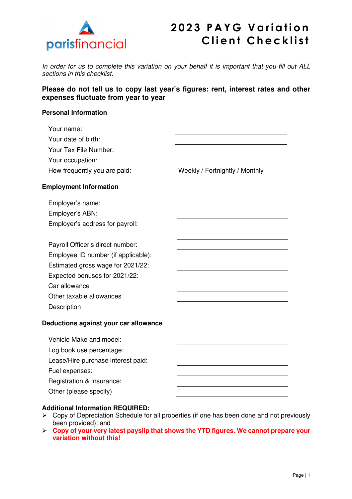

# **2023 PAYG Variation Client Checklist**

In order for us to complete this variation on your behalf it is important that you fill out ALL sections in this checklist.

### **Please do not tell us to copy last year's figures: rent, interest rates and other expenses fluctuate from year to year**

#### **Personal Information**

| Your name:<br>Your date of birth:<br>Your Tax File Number:<br>Your occupation:<br>How frequently you are paid:                                                                                            | Weekly / Fortnightly / Monthly |
|-----------------------------------------------------------------------------------------------------------------------------------------------------------------------------------------------------------|--------------------------------|
| <b>Employment Information</b>                                                                                                                                                                             |                                |
| Employer's name:<br>Employer's ABN:<br>Employer's address for payroll:                                                                                                                                    |                                |
| Payroll Officer's direct number:<br>Employee ID number (if applicable):<br>Estimated gross wage for 2021/22:<br>Expected bonuses for 2021/22:<br>Car allowance<br>Other taxable allowances<br>Description |                                |
| Deductions against your car allowance                                                                                                                                                                     |                                |
| Vehicle Make and model:<br>Log book use percentage:<br>Lease/Hire purchase interest paid:<br>Fuel expenses:<br>Registration & Insurance:<br>Other (please specify)                                        |                                |

#### **Additional Information REQUIRED:**

- $\triangleright$  Copy of Depreciation Schedule for all properties (if one has been done and not previously been provided); and
- **Copy of your very latest payslip that shows the YTD figures**. **We cannot prepare your variation without this!**